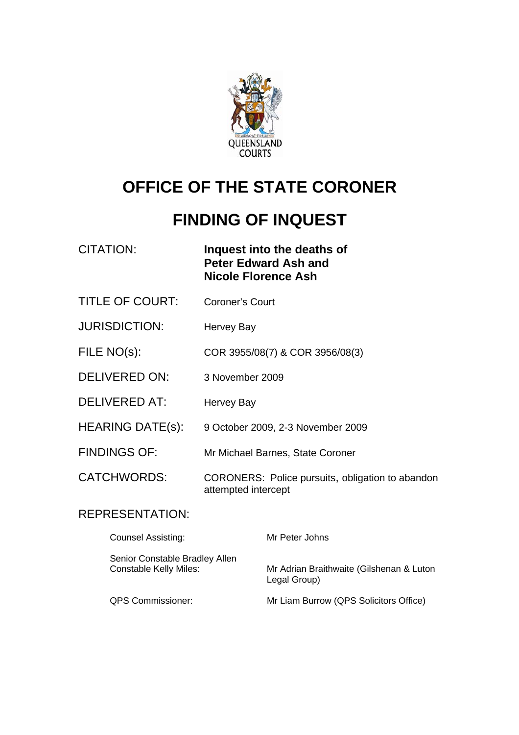

# **OFFICE OF THE STATE CORONER**

# **FINDING OF INQUEST**

| CITATION: | Inquest into the deaths of  |
|-----------|-----------------------------|
|           | <b>Peter Edward Ash and</b> |
|           | Nicole Florence Ash         |

- TITLE OF COURT: Coroner's Court
- JURISDICTION: Hervey Bay
- FILE NO(s): COR 3955/08(7) & COR 3956/08(3)
- DELIVERED ON: 3 November 2009
- DELIVERED AT: Hervey Bay
- HEARING DATE(s): 9 October 2009, 2-3 November 2009
- FINDINGS OF: Mr Michael Barnes, State Coroner

CATCHWORDS: CORONERS: Police pursuits, obligation to abandon attempted intercept

## REPRESENTATION:

| <b>Counsel Assisting:</b>                                       | Mr Peter Johns                                           |
|-----------------------------------------------------------------|----------------------------------------------------------|
| Senior Constable Bradley Allen<br><b>Constable Kelly Miles:</b> | Mr Adrian Braithwaite (Gilshenan & Luton<br>Legal Group) |
| <b>QPS Commissioner:</b>                                        | Mr Liam Burrow (QPS Solicitors Office)                   |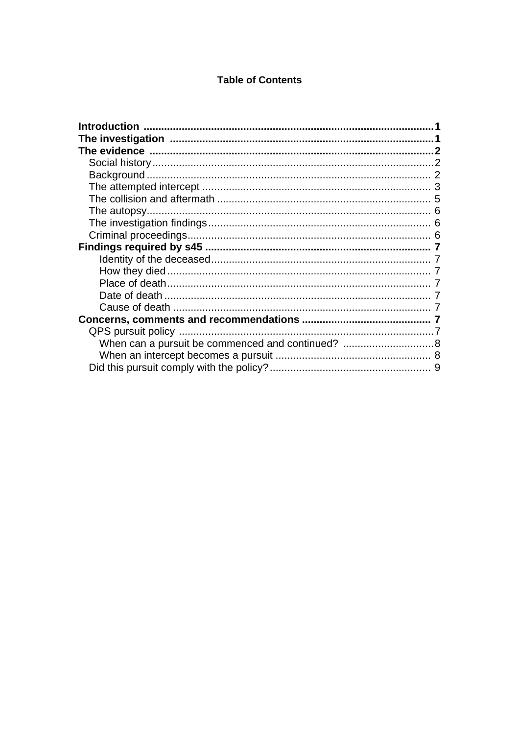#### **Table of Contents**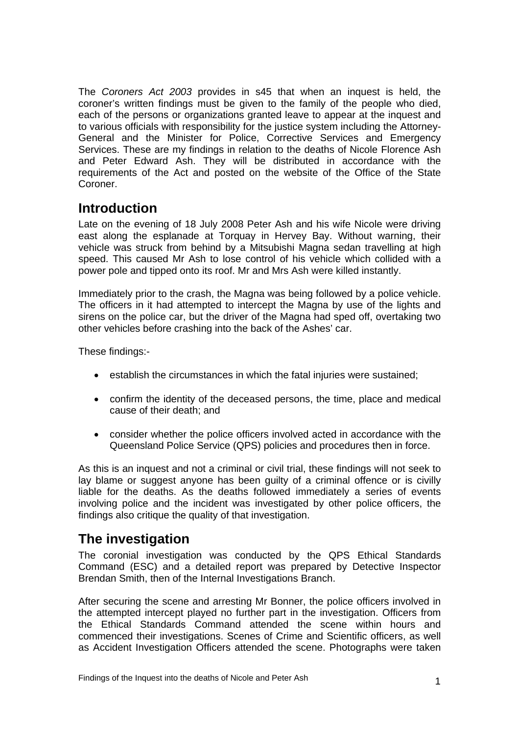<span id="page-2-0"></span>The *Coroners Act 2003* provides in s45 that when an inquest is held, the coroner's written findings must be given to the family of the people who died, each of the persons or organizations granted leave to appear at the inquest and to various officials with responsibility for the justice system including the Attorney-General and the Minister for Police, Corrective Services and Emergency Services. These are my findings in relation to the deaths of Nicole Florence Ash and Peter Edward Ash. They will be distributed in accordance with the requirements of the Act and posted on the website of the Office of the State Coroner.

# **Introduction**

Late on the evening of 18 July 2008 Peter Ash and his wife Nicole were driving east along the esplanade at Torquay in Hervey Bay. Without warning, their vehicle was struck from behind by a Mitsubishi Magna sedan travelling at high speed. This caused Mr Ash to lose control of his vehicle which collided with a power pole and tipped onto its roof. Mr and Mrs Ash were killed instantly.

Immediately prior to the crash, the Magna was being followed by a police vehicle. The officers in it had attempted to intercept the Magna by use of the lights and sirens on the police car, but the driver of the Magna had sped off, overtaking two other vehicles before crashing into the back of the Ashes' car.

These findings:-

- establish the circumstances in which the fatal injuries were sustained:
- confirm the identity of the deceased persons, the time, place and medical cause of their death; and
- consider whether the police officers involved acted in accordance with the Queensland Police Service (QPS) policies and procedures then in force.

As this is an inquest and not a criminal or civil trial, these findings will not seek to lay blame or suggest anyone has been guilty of a criminal offence or is civilly liable for the deaths. As the deaths followed immediately a series of events involving police and the incident was investigated by other police officers, the findings also critique the quality of that investigation.

# **The investigation**

The coronial investigation was conducted by the QPS Ethical Standards Command (ESC) and a detailed report was prepared by Detective Inspector Brendan Smith, then of the Internal Investigations Branch.

After securing the scene and arresting Mr Bonner, the police officers involved in the attempted intercept played no further part in the investigation. Officers from the Ethical Standards Command attended the scene within hours and commenced their investigations. Scenes of Crime and Scientific officers, as well as Accident Investigation Officers attended the scene. Photographs were taken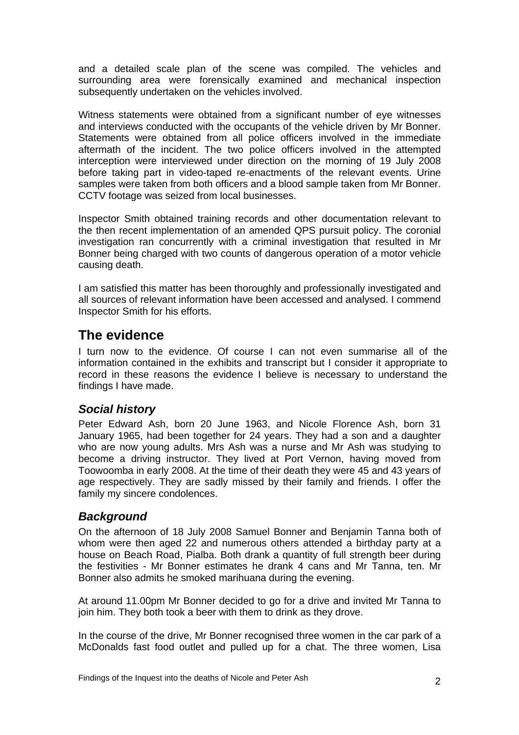<span id="page-3-0"></span>and a detailed scale plan of the scene was compiled. The vehicles and surrounding area were forensically examined and mechanical inspection subsequently undertaken on the vehicles involved.

Witness statements were obtained from a significant number of eye witnesses and interviews conducted with the occupants of the vehicle driven by Mr Bonner. Statements were obtained from all police officers involved in the immediate aftermath of the incident. The two police officers involved in the attempted interception were interviewed under direction on the morning of 19 July 2008 before taking part in video-taped re-enactments of the relevant events. Urine samples were taken from both officers and a blood sample taken from Mr Bonner. CCTV footage was seized from local businesses.

Inspector Smith obtained training records and other documentation relevant to the then recent implementation of an amended QPS pursuit policy. The coronial investigation ran concurrently with a criminal investigation that resulted in Mr Bonner being charged with two counts of dangerous operation of a motor vehicle causing death.

I am satisfied this matter has been thoroughly and professionally investigated and all sources of relevant information have been accessed and analysed. I commend Inspector Smith for his efforts.

# **The evidence**

I turn now to the evidence. Of course I can not even summarise all of the information contained in the exhibits and transcript but I consider it appropriate to record in these reasons the evidence I believe is necessary to understand the findings I have made.

## *Social history*

Peter Edward Ash, born 20 June 1963, and Nicole Florence Ash, born 31 January 1965, had been together for 24 years. They had a son and a daughter who are now young adults. Mrs Ash was a nurse and Mr Ash was studying to become a driving instructor. They lived at Port Vernon, having moved from Toowoomba in early 2008. At the time of their death they were 45 and 43 years of age respectively. They are sadly missed by their family and friends. I offer the family my sincere condolences.

## *Background*

On the afternoon of 18 July 2008 Samuel Bonner and Benjamin Tanna both of whom were then aged 22 and numerous others attended a birthday party at a house on Beach Road, Pialba. Both drank a quantity of full strength beer during the festivities - Mr Bonner estimates he drank 4 cans and Mr Tanna, ten. Mr Bonner also admits he smoked marihuana during the evening.

At around 11.00pm Mr Bonner decided to go for a drive and invited Mr Tanna to join him. They both took a beer with them to drink as they drove.

In the course of the drive. Mr Bonner recognised three women in the car park of a McDonalds fast food outlet and pulled up for a chat. The three women, Lisa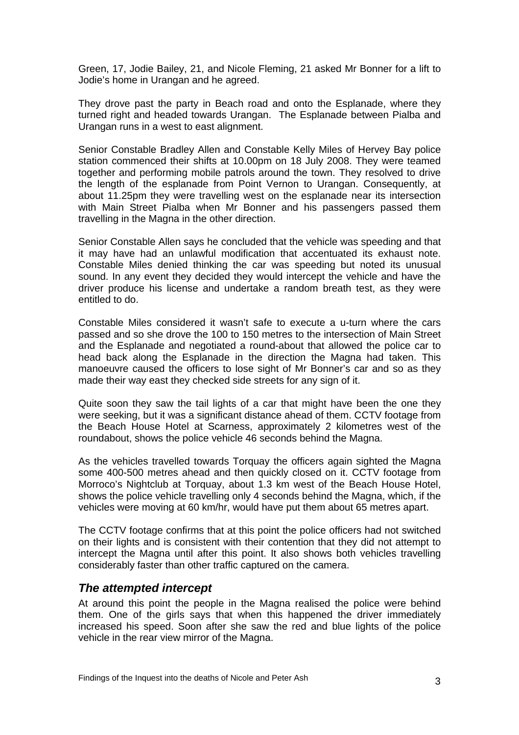<span id="page-4-0"></span>Green, 17, Jodie Bailey, 21, and Nicole Fleming, 21 asked Mr Bonner for a lift to Jodie's home in Urangan and he agreed.

They drove past the party in Beach road and onto the Esplanade, where they turned right and headed towards Urangan. The Esplanade between Pialba and Urangan runs in a west to east alignment.

Senior Constable Bradley Allen and Constable Kelly Miles of Hervey Bay police station commenced their shifts at 10.00pm on 18 July 2008. They were teamed together and performing mobile patrols around the town. They resolved to drive the length of the esplanade from Point Vernon to Urangan. Consequently, at about 11.25pm they were travelling west on the esplanade near its intersection with Main Street Pialba when Mr Bonner and his passengers passed them travelling in the Magna in the other direction.

Senior Constable Allen says he concluded that the vehicle was speeding and that it may have had an unlawful modification that accentuated its exhaust note. Constable Miles denied thinking the car was speeding but noted its unusual sound. In any event they decided they would intercept the vehicle and have the driver produce his license and undertake a random breath test, as they were entitled to do.

Constable Miles considered it wasn't safe to execute a u-turn where the cars passed and so she drove the 100 to 150 metres to the intersection of Main Street and the Esplanade and negotiated a round-about that allowed the police car to head back along the Esplanade in the direction the Magna had taken. This manoeuvre caused the officers to lose sight of Mr Bonner's car and so as they made their way east they checked side streets for any sign of it.

Quite soon they saw the tail lights of a car that might have been the one they were seeking, but it was a significant distance ahead of them. CCTV footage from the Beach House Hotel at Scarness, approximately 2 kilometres west of the roundabout, shows the police vehicle 46 seconds behind the Magna.

As the vehicles travelled towards Torquay the officers again sighted the Magna some 400-500 metres ahead and then quickly closed on it. CCTV footage from Morroco's Nightclub at Torquay, about 1.3 km west of the Beach House Hotel, shows the police vehicle travelling only 4 seconds behind the Magna, which, if the vehicles were moving at 60 km/hr, would have put them about 65 metres apart.

The CCTV footage confirms that at this point the police officers had not switched on their lights and is consistent with their contention that they did not attempt to intercept the Magna until after this point. It also shows both vehicles travelling considerably faster than other traffic captured on the camera.

#### *The attempted intercept*

At around this point the people in the Magna realised the police were behind them. One of the girls says that when this happened the driver immediately increased his speed. Soon after she saw the red and blue lights of the police vehicle in the rear view mirror of the Magna.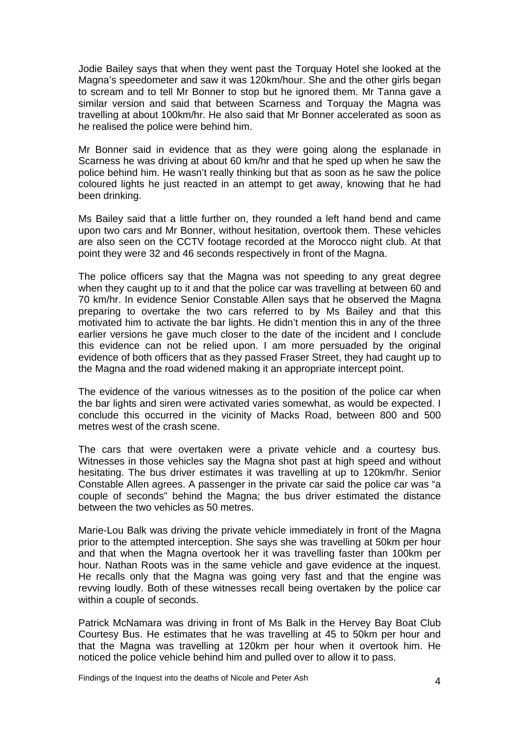Jodie Bailey says that when they went past the Torquay Hotel she looked at the Magna's speedometer and saw it was 120km/hour. She and the other girls began to scream and to tell Mr Bonner to stop but he ignored them. Mr Tanna gave a similar version and said that between Scarness and Torquay the Magna was travelling at about 100km/hr. He also said that Mr Bonner accelerated as soon as he realised the police were behind him.

Mr Bonner said in evidence that as they were going along the esplanade in Scarness he was driving at about 60 km/hr and that he sped up when he saw the police behind him. He wasn't really thinking but that as soon as he saw the police coloured lights he just reacted in an attempt to get away, knowing that he had been drinking.

Ms Bailey said that a little further on, they rounded a left hand bend and came upon two cars and Mr Bonner, without hesitation, overtook them. These vehicles are also seen on the CCTV footage recorded at the Morocco night club. At that point they were 32 and 46 seconds respectively in front of the Magna.

The police officers say that the Magna was not speeding to any great degree when they caught up to it and that the police car was travelling at between 60 and 70 km/hr. In evidence Senior Constable Allen says that he observed the Magna preparing to overtake the two cars referred to by Ms Bailey and that this motivated him to activate the bar lights. He didn't mention this in any of the three earlier versions he gave much closer to the date of the incident and I conclude this evidence can not be relied upon. I am more persuaded by the original evidence of both officers that as they passed Fraser Street, they had caught up to the Magna and the road widened making it an appropriate intercept point.

The evidence of the various witnesses as to the position of the police car when the bar lights and siren were activated varies somewhat, as would be expected. I conclude this occurred in the vicinity of Macks Road, between 800 and 500 metres west of the crash scene.

The cars that were overtaken were a private vehicle and a courtesy bus. Witnesses in those vehicles say the Magna shot past at high speed and without hesitating. The bus driver estimates it was travelling at up to 120km/hr. Senior Constable Allen agrees. A passenger in the private car said the police car was "a couple of seconds" behind the Magna; the bus driver estimated the distance between the two vehicles as 50 metres.

Marie-Lou Balk was driving the private vehicle immediately in front of the Magna prior to the attempted interception. She says she was travelling at 50km per hour and that when the Magna overtook her it was travelling faster than 100km per hour. Nathan Roots was in the same vehicle and gave evidence at the inquest. He recalls only that the Magna was going very fast and that the engine was revving loudly. Both of these witnesses recall being overtaken by the police car within a couple of seconds.

Patrick McNamara was driving in front of Ms Balk in the Hervey Bay Boat Club Courtesy Bus. He estimates that he was travelling at 45 to 50km per hour and that the Magna was travelling at 120km per hour when it overtook him. He noticed the police vehicle behind him and pulled over to allow it to pass.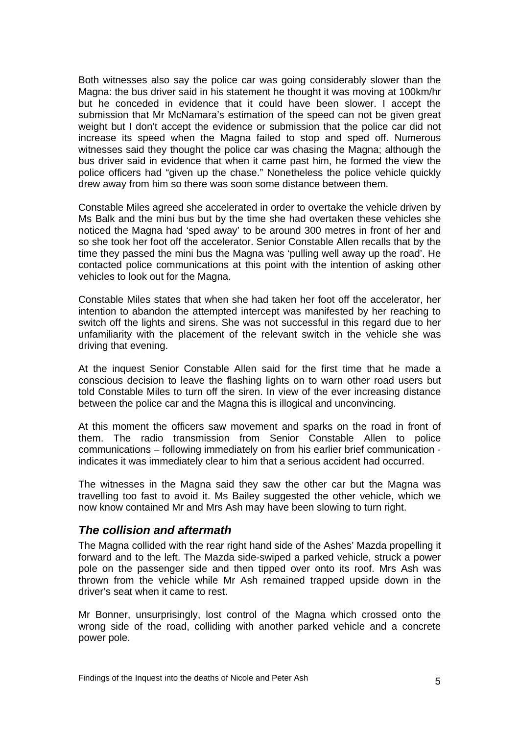<span id="page-6-0"></span>Both witnesses also say the police car was going considerably slower than the Magna: the bus driver said in his statement he thought it was moving at 100km/hr but he conceded in evidence that it could have been slower. I accept the submission that Mr McNamara's estimation of the speed can not be given great weight but I don't accept the evidence or submission that the police car did not increase its speed when the Magna failed to stop and sped off. Numerous witnesses said they thought the police car was chasing the Magna; although the bus driver said in evidence that when it came past him, he formed the view the police officers had "given up the chase." Nonetheless the police vehicle quickly drew away from him so there was soon some distance between them.

Constable Miles agreed she accelerated in order to overtake the vehicle driven by Ms Balk and the mini bus but by the time she had overtaken these vehicles she noticed the Magna had 'sped away' to be around 300 metres in front of her and so she took her foot off the accelerator. Senior Constable Allen recalls that by the time they passed the mini bus the Magna was 'pulling well away up the road'. He contacted police communications at this point with the intention of asking other vehicles to look out for the Magna.

Constable Miles states that when she had taken her foot off the accelerator, her intention to abandon the attempted intercept was manifested by her reaching to switch off the lights and sirens. She was not successful in this regard due to her unfamiliarity with the placement of the relevant switch in the vehicle she was driving that evening.

At the inquest Senior Constable Allen said for the first time that he made a conscious decision to leave the flashing lights on to warn other road users but told Constable Miles to turn off the siren. In view of the ever increasing distance between the police car and the Magna this is illogical and unconvincing.

At this moment the officers saw movement and sparks on the road in front of them. The radio transmission from Senior Constable Allen to police communications – following immediately on from his earlier brief communication indicates it was immediately clear to him that a serious accident had occurred.

The witnesses in the Magna said they saw the other car but the Magna was travelling too fast to avoid it. Ms Bailey suggested the other vehicle, which we now know contained Mr and Mrs Ash may have been slowing to turn right.

#### *The collision and aftermath*

The Magna collided with the rear right hand side of the Ashes' Mazda propelling it forward and to the left. The Mazda side-swiped a parked vehicle, struck a power pole on the passenger side and then tipped over onto its roof. Mrs Ash was thrown from the vehicle while Mr Ash remained trapped upside down in the driver's seat when it came to rest.

Mr Bonner, unsurprisingly, lost control of the Magna which crossed onto the wrong side of the road, colliding with another parked vehicle and a concrete power pole.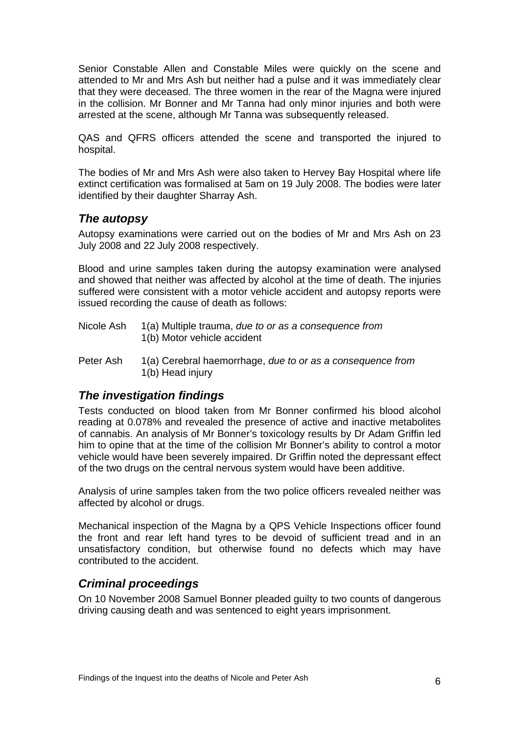<span id="page-7-0"></span>Senior Constable Allen and Constable Miles were quickly on the scene and attended to Mr and Mrs Ash but neither had a pulse and it was immediately clear that they were deceased. The three women in the rear of the Magna were injured in the collision. Mr Bonner and Mr Tanna had only minor injuries and both were arrested at the scene, although Mr Tanna was subsequently released.

QAS and QFRS officers attended the scene and transported the injured to hospital.

The bodies of Mr and Mrs Ash were also taken to Hervey Bay Hospital where life extinct certification was formalised at 5am on 19 July 2008. The bodies were later identified by their daughter Sharray Ash.

#### *The autopsy*

Autopsy examinations were carried out on the bodies of Mr and Mrs Ash on 23 July 2008 and 22 July 2008 respectively.

Blood and urine samples taken during the autopsy examination were analysed and showed that neither was affected by alcohol at the time of death. The injuries suffered were consistent with a motor vehicle accident and autopsy reports were issued recording the cause of death as follows:

- Nicole Ash 1(a) Multiple trauma, *due to or as a consequence from*  1(b) Motor vehicle accident
- Peter Ash 1(a) Cerebral haemorrhage, *due to or as a consequence from*  1(b) Head injury

## *The investigation findings*

Tests conducted on blood taken from Mr Bonner confirmed his blood alcohol reading at 0.078% and revealed the presence of active and inactive metabolites of cannabis. An analysis of Mr Bonner's toxicology results by Dr Adam Griffin led him to opine that at the time of the collision Mr Bonner's ability to control a motor vehicle would have been severely impaired. Dr Griffin noted the depressant effect of the two drugs on the central nervous system would have been additive.

Analysis of urine samples taken from the two police officers revealed neither was affected by alcohol or drugs.

Mechanical inspection of the Magna by a QPS Vehicle Inspections officer found the front and rear left hand tyres to be devoid of sufficient tread and in an unsatisfactory condition, but otherwise found no defects which may have contributed to the accident.

## *Criminal proceedings*

On 10 November 2008 Samuel Bonner pleaded guilty to two counts of dangerous driving causing death and was sentenced to eight years imprisonment.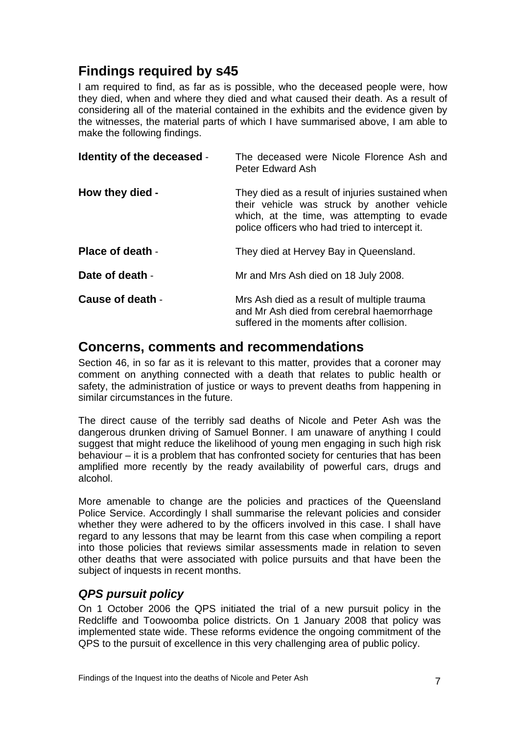# <span id="page-8-0"></span>**Findings required by s45**

I am required to find, as far as is possible, who the deceased people were, how they died, when and where they died and what caused their death. As a result of considering all of the material contained in the exhibits and the evidence given by the witnesses, the material parts of which I have summarised above, I am able to make the following findings.

| Identity of the deceased - | The deceased were Nicole Florence Ash and<br><b>Peter Edward Ash</b>                                                                                                                             |
|----------------------------|--------------------------------------------------------------------------------------------------------------------------------------------------------------------------------------------------|
| How they died -            | They died as a result of injuries sustained when<br>their vehicle was struck by another vehicle<br>which, at the time, was attempting to evade<br>police officers who had tried to intercept it. |
| <b>Place of death -</b>    | They died at Hervey Bay in Queensland.                                                                                                                                                           |
| Date of death -            | Mr and Mrs Ash died on 18 July 2008.                                                                                                                                                             |
| Cause of death -           | Mrs Ash died as a result of multiple trauma<br>and Mr Ash died from cerebral haemorrhage<br>suffered in the moments after collision.                                                             |

# **Concerns, comments and recommendations**

Section 46, in so far as it is relevant to this matter, provides that a coroner may comment on anything connected with a death that relates to public health or safety, the administration of justice or ways to prevent deaths from happening in similar circumstances in the future.

The direct cause of the terribly sad deaths of Nicole and Peter Ash was the dangerous drunken driving of Samuel Bonner. I am unaware of anything I could suggest that might reduce the likelihood of young men engaging in such high risk behaviour – it is a problem that has confronted society for centuries that has been amplified more recently by the ready availability of powerful cars, drugs and alcohol.

More amenable to change are the policies and practices of the Queensland Police Service. Accordingly I shall summarise the relevant policies and consider whether they were adhered to by the officers involved in this case. I shall have regard to any lessons that may be learnt from this case when compiling a report into those policies that reviews similar assessments made in relation to seven other deaths that were associated with police pursuits and that have been the subject of inquests in recent months.

# *QPS pursuit policy*

On 1 October 2006 the QPS initiated the trial of a new pursuit policy in the Redcliffe and Toowoomba police districts. On 1 January 2008 that policy was implemented state wide. These reforms evidence the ongoing commitment of the QPS to the pursuit of excellence in this very challenging area of public policy.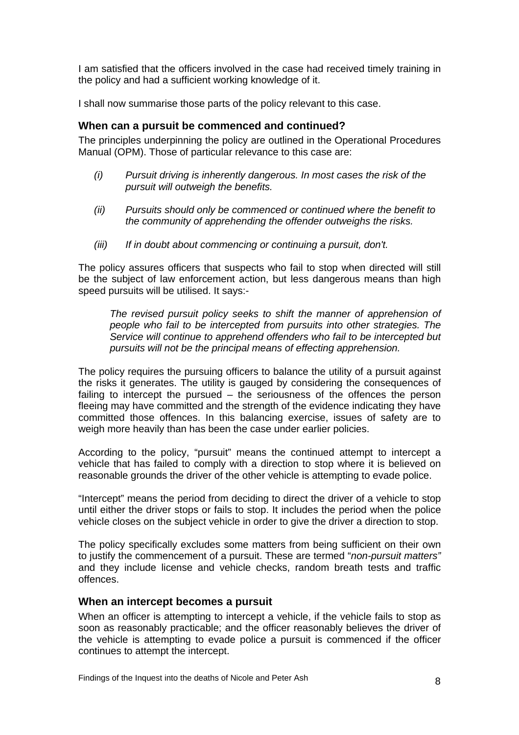<span id="page-9-0"></span>I am satisfied that the officers involved in the case had received timely training in the policy and had a sufficient working knowledge of it.

I shall now summarise those parts of the policy relevant to this case.

#### **When can a pursuit be commenced and continued?**

The principles underpinning the policy are outlined in the Operational Procedures Manual (OPM). Those of particular relevance to this case are:

- *(i) Pursuit driving is inherently dangerous. In most cases the risk of the pursuit will outweigh the benefits.*
- *(ii) Pursuits should only be commenced or continued where the benefit to the community of apprehending the offender outweighs the risks.*
- *(iii) If in doubt about commencing or continuing a pursuit, don't.*

The policy assures officers that suspects who fail to stop when directed will still be the subject of law enforcement action, but less dangerous means than high speed pursuits will be utilised. It says:-

*The revised pursuit policy seeks to shift the manner of apprehension of people who fail to be intercepted from pursuits into other strategies. The Service will continue to apprehend offenders who fail to be intercepted but pursuits will not be the principal means of effecting apprehension.* 

The policy requires the pursuing officers to balance the utility of a pursuit against the risks it generates. The utility is gauged by considering the consequences of failing to intercept the pursued – the seriousness of the offences the person fleeing may have committed and the strength of the evidence indicating they have committed those offences. In this balancing exercise, issues of safety are to weigh more heavily than has been the case under earlier policies.

According to the policy, "pursuit" means the continued attempt to intercept a vehicle that has failed to comply with a direction to stop where it is believed on reasonable grounds the driver of the other vehicle is attempting to evade police.

"Intercept" means the period from deciding to direct the driver of a vehicle to stop until either the driver stops or fails to stop. It includes the period when the police vehicle closes on the subject vehicle in order to give the driver a direction to stop.

The policy specifically excludes some matters from being sufficient on their own to justify the commencement of a pursuit. These are termed "*non-pursuit matters"* and they include license and vehicle checks, random breath tests and traffic offences.

#### **When an intercept becomes a pursuit**

When an officer is attempting to intercept a vehicle, if the vehicle fails to stop as soon as reasonably practicable; and the officer reasonably believes the driver of the vehicle is attempting to evade police a pursuit is commenced if the officer continues to attempt the intercept.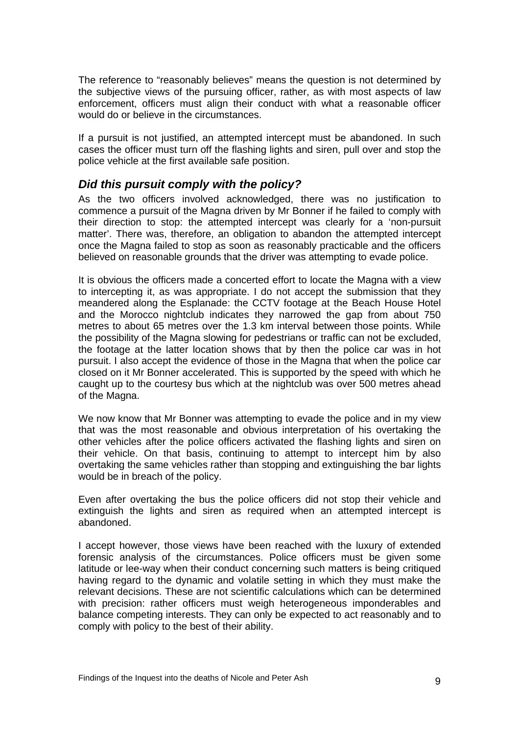<span id="page-10-0"></span>The reference to "reasonably believes" means the question is not determined by the subjective views of the pursuing officer, rather, as with most aspects of law enforcement, officers must align their conduct with what a reasonable officer would do or believe in the circumstances.

If a pursuit is not justified, an attempted intercept must be abandoned. In such cases the officer must turn off the flashing lights and siren, pull over and stop the police vehicle at the first available safe position.

## *Did this pursuit comply with the policy?*

As the two officers involved acknowledged, there was no justification to commence a pursuit of the Magna driven by Mr Bonner if he failed to comply with their direction to stop: the attempted intercept was clearly for a 'non-pursuit matter'. There was, therefore, an obligation to abandon the attempted intercept once the Magna failed to stop as soon as reasonably practicable and the officers believed on reasonable grounds that the driver was attempting to evade police.

It is obvious the officers made a concerted effort to locate the Magna with a view to intercepting it, as was appropriate. I do not accept the submission that they meandered along the Esplanade: the CCTV footage at the Beach House Hotel and the Morocco nightclub indicates they narrowed the gap from about 750 metres to about 65 metres over the 1.3 km interval between those points. While the possibility of the Magna slowing for pedestrians or traffic can not be excluded, the footage at the latter location shows that by then the police car was in hot pursuit. I also accept the evidence of those in the Magna that when the police car closed on it Mr Bonner accelerated. This is supported by the speed with which he caught up to the courtesy bus which at the nightclub was over 500 metres ahead of the Magna.

We now know that Mr Bonner was attempting to evade the police and in my view that was the most reasonable and obvious interpretation of his overtaking the other vehicles after the police officers activated the flashing lights and siren on their vehicle. On that basis, continuing to attempt to intercept him by also overtaking the same vehicles rather than stopping and extinguishing the bar lights would be in breach of the policy.

Even after overtaking the bus the police officers did not stop their vehicle and extinguish the lights and siren as required when an attempted intercept is abandoned.

I accept however, those views have been reached with the luxury of extended forensic analysis of the circumstances. Police officers must be given some latitude or lee-way when their conduct concerning such matters is being critiqued having regard to the dynamic and volatile setting in which they must make the relevant decisions. These are not scientific calculations which can be determined with precision: rather officers must weigh heterogeneous imponderables and balance competing interests. They can only be expected to act reasonably and to comply with policy to the best of their ability.